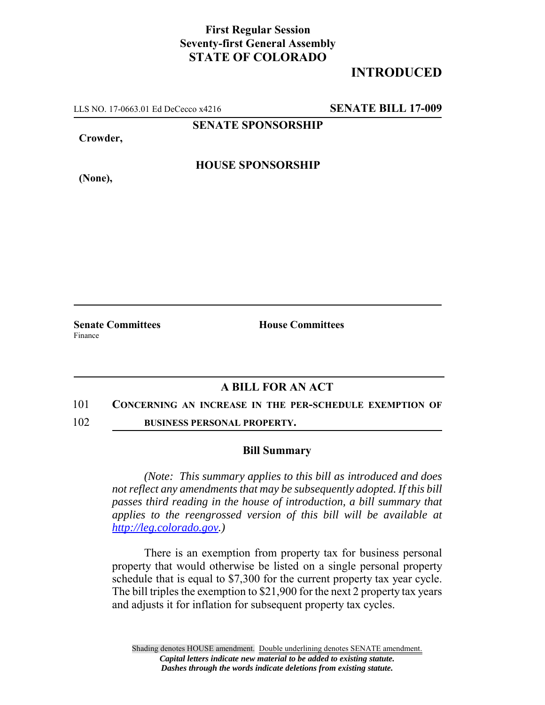## **First Regular Session Seventy-first General Assembly STATE OF COLORADO**

# **INTRODUCED**

LLS NO. 17-0663.01 Ed DeCecco x4216 **SENATE BILL 17-009**

**SENATE SPONSORSHIP**

**Crowder,**

**HOUSE SPONSORSHIP**

**(None),**

**Senate Committees House Committees** Finance

### **A BILL FOR AN ACT**

### 101 **CONCERNING AN INCREASE IN THE PER-SCHEDULE EXEMPTION OF**

102 **BUSINESS PERSONAL PROPERTY.**

### **Bill Summary**

*(Note: This summary applies to this bill as introduced and does not reflect any amendments that may be subsequently adopted. If this bill passes third reading in the house of introduction, a bill summary that applies to the reengrossed version of this bill will be available at http://leg.colorado.gov.)*

There is an exemption from property tax for business personal property that would otherwise be listed on a single personal property schedule that is equal to \$7,300 for the current property tax year cycle. The bill triples the exemption to \$21,900 for the next 2 property tax years and adjusts it for inflation for subsequent property tax cycles.

Shading denotes HOUSE amendment. Double underlining denotes SENATE amendment. *Capital letters indicate new material to be added to existing statute. Dashes through the words indicate deletions from existing statute.*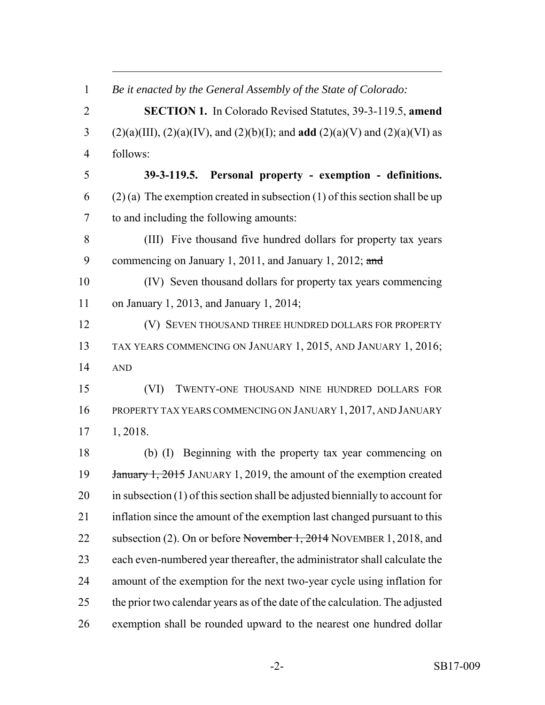*Be it enacted by the General Assembly of the State of Colorado:* **SECTION 1.** In Colorado Revised Statutes, 39-3-119.5, **amend** (2)(a)(III), (2)(a)(IV), and (2)(b)(I); and **add** (2)(a)(V) and (2)(a)(VI) as follows: **39-3-119.5. Personal property - exemption - definitions.** 6 (2) (a) The exemption created in subsection (1) of this section shall be up to and including the following amounts: (III) Five thousand five hundred dollars for property tax years 9 commencing on January 1, 2011, and January 1, 2012; and (IV) Seven thousand dollars for property tax years commencing on January 1, 2013, and January 1, 2014; (V) SEVEN THOUSAND THREE HUNDRED DOLLARS FOR PROPERTY TAX YEARS COMMENCING ON JANUARY 1, 2015, AND JANUARY 1, 2016; AND (VI) TWENTY-ONE THOUSAND NINE HUNDRED DOLLARS FOR PROPERTY TAX YEARS COMMENCING ON JANUARY 1, 2017, AND JANUARY 1, 2018. (b) (I) Beginning with the property tax year commencing on 19 January 1, 2015 JANUARY 1, 2019, the amount of the exemption created in subsection (1) of this section shall be adjusted biennially to account for inflation since the amount of the exemption last changed pursuant to this 22 subsection (2). On or before November 1, 2014 NOVEMBER 1, 2018, and each even-numbered year thereafter, the administrator shall calculate the amount of the exemption for the next two-year cycle using inflation for the prior two calendar years as of the date of the calculation. The adjusted exemption shall be rounded upward to the nearest one hundred dollar